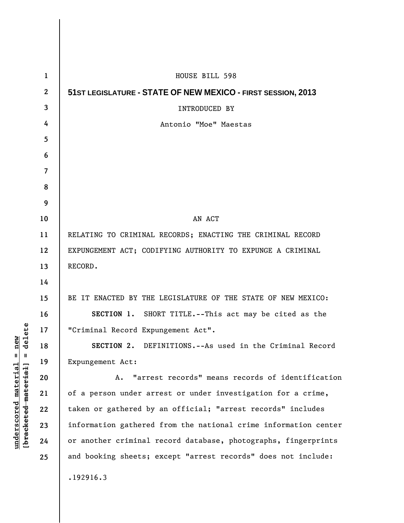| $\mathbf{1}$   | HOUSE BILL 598                                                  |
|----------------|-----------------------------------------------------------------|
| $\mathbf{2}$   | 51ST LEGISLATURE - STATE OF NEW MEXICO - FIRST SESSION, 2013    |
| 3              | <b>INTRODUCED BY</b>                                            |
| 4              | Antonio "Moe" Maestas                                           |
| 5              |                                                                 |
| 6              |                                                                 |
| $\overline{7}$ |                                                                 |
| 8              |                                                                 |
| 9              |                                                                 |
| 10             | AN ACT                                                          |
| 11             | RELATING TO CRIMINAL RECORDS; ENACTING THE CRIMINAL RECORD      |
| 12             | EXPUNGEMENT ACT; CODIFYING AUTHORITY TO EXPUNGE A CRIMINAL      |
| 13             | RECORD.                                                         |
| 14             |                                                                 |
| 15             | BE IT ENACTED BY THE LEGISLATURE OF THE STATE OF NEW MEXICO:    |
| 16             | SECTION 1. SHORT TITLE.--This act may be cited as the           |
| 17             | "Criminal Record Expungement Act".                              |
| 18             | SECTION 2. DEFINITIONS.--As used in the Criminal Record         |
| 19             | Expungement Act:                                                |
| 20             | "arrest records" means records of identification<br>A.          |
| 21             | of a person under arrest or under investigation for a crime,    |
| 22             | taken or gathered by an official; "arrest records" includes     |
| 23             | information gathered from the national crime information center |
| 24             | or another criminal record database, photographs, fingerprints  |
| 25             | and booking sheets; except "arrest records" does not include:   |
|                | .192916.3                                                       |

**underscored material = new [bracketed material] = delete**

 $[**bracket eted metert et**] = **del et e**$  $underscored material = new$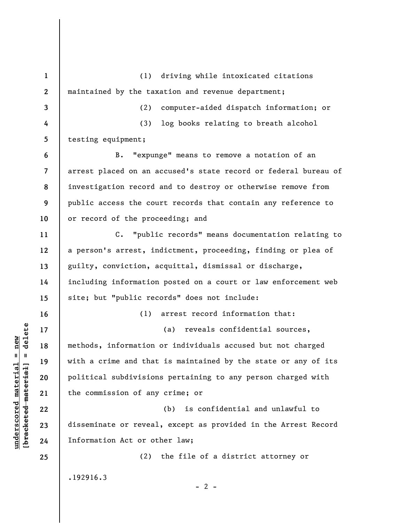**1 2 3 4 5 6 7 8 9 10 11 12 13 14 15 16 17 18 19 20 21 22 23 24 25**  (1) driving while intoxicated citations maintained by the taxation and revenue department; (2) computer-aided dispatch information; or (3) log books relating to breath alcohol testing equipment; B. "expunge" means to remove a notation of an arrest placed on an accused's state record or federal bureau of investigation record and to destroy or otherwise remove from public access the court records that contain any reference to or record of the proceeding; and C. "public records" means documentation relating to a person's arrest, indictment, proceeding, finding or plea of guilty, conviction, acquittal, dismissal or discharge, including information posted on a court or law enforcement web site; but "public records" does not include: (1) arrest record information that: (a) reveals confidential sources, methods, information or individuals accused but not charged with a crime and that is maintained by the state or any of its political subdivisions pertaining to any person charged with the commission of any crime; or (b) is confidential and unlawful to disseminate or reveal, except as provided in the Arrest Record Information Act or other law; (2) the file of a district attorney or .192916.3

**underscored material = new [bracketed material] = delete**

 $\frac{1}{2}$  of  $\frac{1}{2}$  and  $\frac{1}{2}$  and  $\frac{1}{2}$  and  $\frac{1}{2}$  and  $\frac{1}{2}$  and  $\frac{1}{2}$  and  $\frac{1}{2}$  and  $\frac{1}{2}$  and  $\frac{1}{2}$  and  $\frac{1}{2}$  and  $\frac{1}{2}$  and  $\frac{1}{2}$  and  $\frac{1}{2}$  and  $\frac{1}{2}$  and  $\frac{1}{2}$  an  $underscored material = new$ 

 $- 2 -$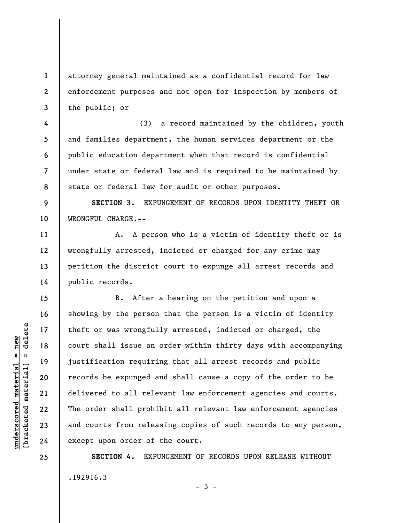attorney general maintained as a confidential record for law enforcement purposes and not open for inspection by members of the public; or

(3) a record maintained by the children, youth and families department, the human services department or the public education department when that record is confidential under state or federal law and is required to be maintained by state or federal law for audit or other purposes.

**9 10 SECTION 3.** EXPUNGEMENT OF RECORDS UPON IDENTITY THEFT OR WRONGFUL CHARGE.--

A. A person who is a victim of identity theft or is wrongfully arrested, indicted or charged for any crime may petition the district court to expunge all arrest records and public records.

B. After a hearing on the petition and upon a showing by the person that the person is a victim of identity theft or was wrongfully arrested, indicted or charged, the court shall issue an order within thirty days with accompanying justification requiring that all arrest records and public records be expunged and shall cause a copy of the order to be delivered to all relevant law enforcement agencies and courts. The order shall prohibit all relevant law enforcement agencies and courts from releasing copies of such records to any person, except upon order of the court.

**SECTION 4.** EXPUNGEMENT OF RECORDS UPON RELEASE WITHOUT .192916.3  $-3 -$ 

 $\frac{1}{2}$  intereted material = delete **[bracketed material] = delete**  $underscored material = new$ **underscored material = new**

**1** 

**2** 

**3** 

**4** 

**5** 

**6** 

**7** 

**8** 

**11** 

**12** 

**13** 

**14** 

**15** 

**16** 

**17** 

**18** 

**19** 

**20** 

**21** 

**22** 

**23** 

**24** 

**25**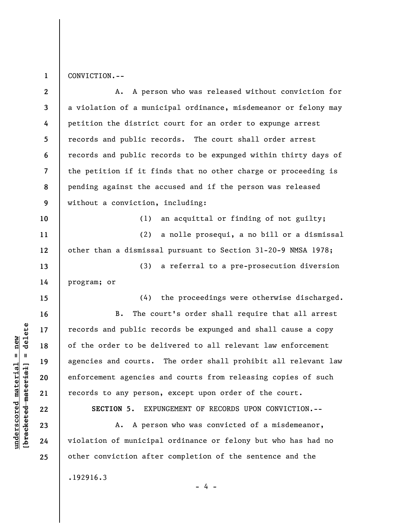**1**  CONVICTION.--

| $\mathbf{2}$            | A. A person who was released without conviction for             |
|-------------------------|-----------------------------------------------------------------|
| $\mathbf{3}$            | a violation of a municipal ordinance, misdemeanor or felony may |
| 4                       | petition the district court for an order to expunge arrest      |
| 5                       | records and public records. The court shall order arrest        |
| 6                       | records and public records to be expunged within thirty days of |
| $\overline{\mathbf{7}}$ | the petition if it finds that no other charge or proceeding is  |
| 8                       | pending against the accused and if the person was released      |
| 9                       | without a conviction, including:                                |
| 10                      | an acquittal or finding of not guilty;<br>(1)                   |
| 11                      | (2) a nolle prosequi, a no bill or a dismissal                  |
| 12                      | other than a dismissal pursuant to Section 31-20-9 NMSA 1978;   |
| 13                      | (3) a referral to a pre-prosecution diversion                   |
| 14                      | program; or                                                     |
| 15                      | (4) the proceedings were otherwise discharged.                  |
| 16                      | The court's order shall require that all arrest<br>$B$ .        |
| 17                      | records and public records be expunged and shall cause a copy   |
| 18                      | of the order to be delivered to all relevant law enforcement    |
| 19                      | agencies and courts. The order shall prohibit all relevant law  |
| 20                      | enforcement agencies and courts from releasing copies of such   |
| 21                      | records to any person, except upon order of the court.          |
| 22                      | EXPUNGEMENT OF RECORDS UPON CONVICTION. --<br>SECTION 5.        |
| 23                      | A person who was convicted of a misdemeanor,<br>Α.              |
| 24                      | violation of municipal ordinance or felony but who has had no   |
| 25                      | other conviction after completion of the sentence and the       |
|                         | .192916.3<br>- 4 -                                              |

 $[bracketeed-materiat] = delete$ **[bracketed material] = delete**  $underscored material = new$ **underscored material = new**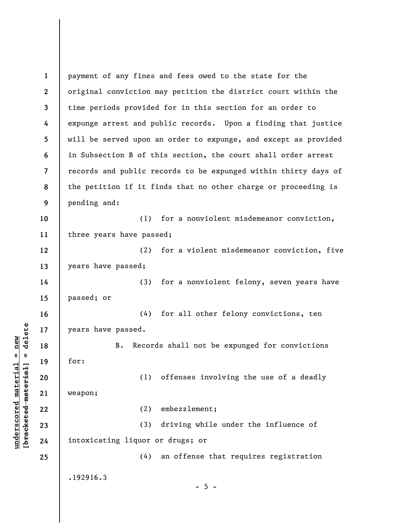**1 2 3 4 5 6 7 8 9 10 11 12 13 14 15 16 17 18 19 20 21 22 23 24 25**  payment of any fines and fees owed to the state for the original conviction may petition the district court within the time periods provided for in this section for an order to expunge arrest and public records. Upon a finding that justice will be served upon an order to expunge, and except as provided in Subsection B of this section, the court shall order arrest records and public records to be expunged within thirty days of the petition if it finds that no other charge or proceeding is pending and: (1) for a nonviolent misdemeanor conviction, three years have passed; (2) for a violent misdemeanor conviction, five years have passed; (3) for a nonviolent felony, seven years have passed; or (4) for all other felony convictions, ten years have passed. B. Records shall not be expunged for convictions for: (1) offenses involving the use of a deadly weapon; (2) embezzlement; (3) driving while under the influence of intoxicating liquor or drugs; or (4) an offense that requires registration .192916.3  $- 5 -$ 

**underscored material = new [bracketed material] = delete**

 $b$ racketed material] = delete  $underscored material = new$